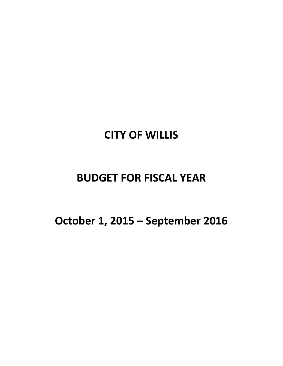# **CITY OF WILLIS**

# **BUDGET FOR FISCAL YEAR**

**October 1, 2015 – September 2016**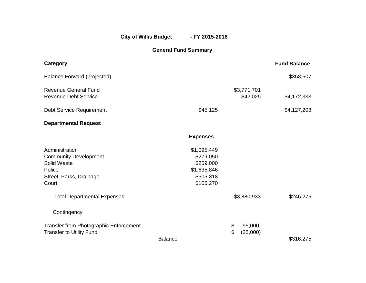City of Willis Budget - FY 2015-2016

**General Fund Summary**

| Category                                                                                                    |                                                                                |                                | <b>Fund Balance</b> |
|-------------------------------------------------------------------------------------------------------------|--------------------------------------------------------------------------------|--------------------------------|---------------------|
| <b>Balance Forward (projected)</b>                                                                          |                                                                                |                                | \$358,607           |
| <b>Revenue General Fund</b><br><b>Revenue Debt Service</b>                                                  |                                                                                | \$3,771,701<br>\$42,025        | \$4,172,333         |
| <b>Debt Service Requirement</b>                                                                             | \$45,125                                                                       |                                | \$4,127,208         |
| <b>Departmental Request</b>                                                                                 |                                                                                |                                |                     |
|                                                                                                             | <b>Expenses</b>                                                                |                                |                     |
| Administration<br><b>Community Development</b><br>Solid Waste<br>Police<br>Street, Parks, Drainage<br>Court | \$1,095,449<br>\$279,050<br>\$259,000<br>\$1,635,846<br>\$505,318<br>\$106,270 |                                |                     |
| <b>Total Departmental Expenses</b>                                                                          |                                                                                | \$3,880,933                    | \$246,275           |
| Contingency                                                                                                 |                                                                                |                                |                     |
| Transfer from Photographic Enforcement<br><b>Transfer to Utility Fund</b>                                   | <b>Balance</b>                                                                 | \$<br>95,000<br>\$<br>(25,000) | \$316,275           |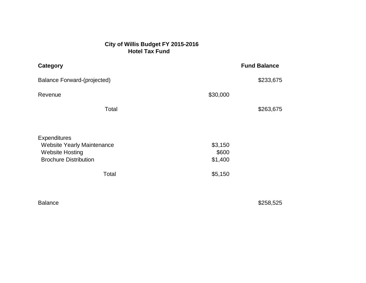# **City of Willis Budget FY 2015-2016 Hotel Tax Fund**

| Category                                                                                                                    |                                        | <b>Fund Balance</b> |
|-----------------------------------------------------------------------------------------------------------------------------|----------------------------------------|---------------------|
| <b>Balance Forward-(projected)</b>                                                                                          |                                        | \$233,675           |
| Revenue                                                                                                                     | \$30,000                               |                     |
| Total                                                                                                                       |                                        | \$263,675           |
| <b>Expenditures</b><br><b>Website Yearly Maintenance</b><br><b>Website Hosting</b><br><b>Brochure Distribution</b><br>Total | \$3,150<br>\$600<br>\$1,400<br>\$5,150 |                     |

Balance \$258,525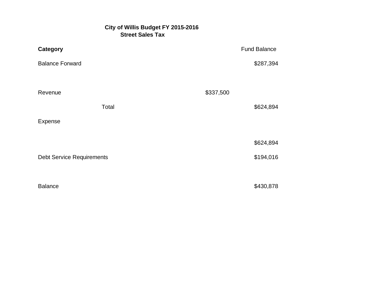# **City of Willis Budget FY 2015-2016** *Street Sales Tax*

| <b>Category</b>                  | <b>Fund Balance</b> |
|----------------------------------|---------------------|
| <b>Balance Forward</b>           | \$287,394           |
| Revenue                          | \$337,500           |
| Total                            | \$624,894           |
| Expense                          |                     |
|                                  | \$624,894           |
| <b>Debt Service Requirements</b> | \$194,016           |
|                                  |                     |
| <b>Balance</b>                   | \$430,878           |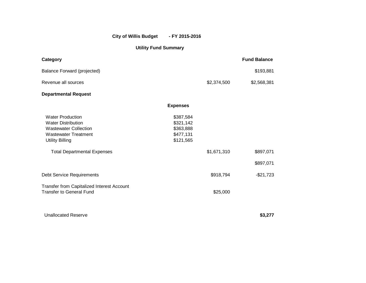## **City of Willis Budget - FY 2015-2016**

## **Utility Fund Summary**

| Category                                                                                                                                      |                                                               |             | <b>Fund Balance</b>    |
|-----------------------------------------------------------------------------------------------------------------------------------------------|---------------------------------------------------------------|-------------|------------------------|
| <b>Balance Forward (projected)</b>                                                                                                            |                                                               |             | \$193,881              |
| Revenue all sources                                                                                                                           |                                                               | \$2,374,500 | \$2,568,381            |
| <b>Departmental Request</b>                                                                                                                   |                                                               |             |                        |
|                                                                                                                                               | <b>Expenses</b>                                               |             |                        |
| <b>Water Production</b><br><b>Water Distribution</b><br><b>Wastewater Collection</b><br><b>Wastewater Treatment</b><br><b>Utility Billing</b> | \$387,584<br>\$321,142<br>\$363,888<br>\$477,131<br>\$121,565 |             |                        |
| <b>Total Departmental Expenses</b>                                                                                                            |                                                               | \$1,671,310 | \$897,071<br>\$897,071 |
| <b>Debt Service Requirements</b>                                                                                                              |                                                               | \$918,794   | $-$21,723$             |
| Transfer from Capitalized Interest Account<br><b>Transfer to General Fund</b>                                                                 |                                                               | \$25,000    |                        |
| <b>Unallocated Reserve</b>                                                                                                                    |                                                               |             | \$3,277                |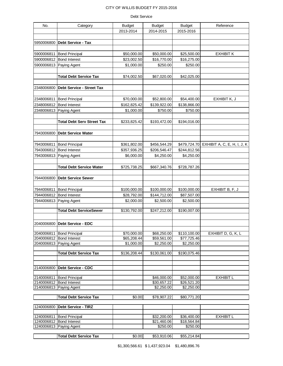#### Debt Service

| No.        | Category                          | <b>Budget</b> | <b>Budget</b> | <b>Budget</b>          | Reference                                |
|------------|-----------------------------------|---------------|---------------|------------------------|------------------------------------------|
|            |                                   | 2013-2014     | 2014-2015     | 2015-2016              |                                          |
|            |                                   |               |               |                        |                                          |
| 5950006800 | Debt Service - Tax                |               |               |                        |                                          |
|            |                                   |               |               |                        |                                          |
| 5900006811 | <b>Bond Principal</b>             | \$50,000.00   | \$50,000.00   | \$25,500.00            | <b>EXHIBIT K</b>                         |
|            | 5900006812 Bond Interest          | \$23,002.50   | \$16,770.00   | \$16,275.00            |                                          |
| 5900006813 | Paying Agent                      | \$1,000.00    | \$250.00      | \$250.00               |                                          |
|            |                                   |               |               |                        |                                          |
|            | <b>Total Debt Service Tax</b>     | \$74,002.50   | \$67,020.00   | \$42,025.00            |                                          |
|            |                                   |               |               |                        |                                          |
| 2348006800 | Debt Service - Street Tax         |               |               |                        |                                          |
|            |                                   |               |               |                        |                                          |
|            | 2348006811 Bond Principal         | \$70,000.00   | \$52,800.00   | \$54,400.00            | EXHIBIT K, J                             |
|            | 2348006812 Bond Interest          | \$162,825.42  | \$139,922.00  | \$138,866.00           |                                          |
| 2348006813 | Paying Agent                      | \$1,000.00    | \$750.00      | \$750.00               |                                          |
|            |                                   |               |               |                        |                                          |
|            | <b>Total Debt Serv Street Tax</b> | \$233,825.42  | \$193,472.00  | \$194,016.00           |                                          |
|            |                                   |               |               |                        |                                          |
| 7943006800 | <b>Debt Service Water</b>         |               |               |                        |                                          |
|            |                                   |               |               |                        |                                          |
| 7943006811 | <b>Bond Principal</b>             | \$361,802.00  | \$456,544.29  |                        | \$479,724.70 EXHIBIT A, C, E, H, I, J, K |
| 7943006812 | <b>Bond Interest</b>              | \$357,936.25  | \$206,546.47  | \$244,812.56           |                                          |
| 7943006813 | Paying Agent                      | \$6,000.00    | \$4,250.00    | \$4,250.00             |                                          |
|            |                                   |               |               |                        |                                          |
|            | <b>Total Debt Service Water</b>   | \$725,738.25  | \$667,340.76  | \$728,787.26           |                                          |
|            |                                   |               |               |                        |                                          |
| 7944006800 | <b>Debt Service Sewer</b>         |               |               |                        |                                          |
|            |                                   |               |               |                        |                                          |
|            | 7944006811 Bond Principal         | \$100,000.00  | \$100,000.00  | \$100,000.00           | EXHIBIT B, F, J                          |
|            | 7944006812 Bond Interest          | \$28,792.00   | \$144,712.00  | \$87,507.00            |                                          |
| 7944006813 | Paying Agent                      | \$2,000.00    | \$2,500.00    | \$2,500.00             |                                          |
|            | <b>Total Debt ServiceSewer</b>    | \$130,792.00  | \$247,212.00  | \$190,007.00           |                                          |
|            |                                   |               |               |                        |                                          |
|            |                                   |               |               |                        |                                          |
|            | 2040006800 Debt Service - EDC     |               |               |                        |                                          |
| 2040006811 | <b>Bond Principal</b>             | \$70,000.00   | \$68,250.00   | \$110,100.00           | EXHIBIT D, G, K, L                       |
|            | 2040006812 Bond Interest          | \$65,208.44   | \$59,561.00   | \$77,725.46            |                                          |
|            | 2040006813 Paying Agent           | \$1,000.00    | \$2,250.00    | \$2,250.00             |                                          |
|            |                                   |               |               |                        |                                          |
|            | <b>Total Debt Service Tax</b>     | \$136,208.44  | \$130,061.00  | \$190,075.46           |                                          |
|            |                                   |               |               |                        |                                          |
| 2140006800 | <b>Debt Service - CDC</b>         |               |               |                        |                                          |
|            |                                   |               |               |                        |                                          |
|            | 2140006811 Bond Principal         |               | \$46,000.00   | \$52,000.00            | <b>EXHIBIT L</b>                         |
|            | 2140006812 Bond Interest          |               | \$30,657.22   | \$26,521.20            |                                          |
|            | 2140006813 Paying Agent           |               | \$2,250.00    | $\overline{$}2,250.00$ |                                          |
|            | <b>Total Debt Service Tax</b>     | \$0.00        | \$78,907.22   | \$80,771.20            |                                          |
|            |                                   |               |               |                        |                                          |
|            |                                   |               |               |                        |                                          |

| 11240006800 <b>Debt Service - TIRZ</b> |             |             |           |  |
|----------------------------------------|-------------|-------------|-----------|--|
|                                        |             |             |           |  |
| 1240006811 Bond Principal              | \$32,200.00 | \$36,400,00 | EXHIBIT L |  |
| 1240006812 Bond Interest               | \$21.460.06 | \$18.564.84 |           |  |
| 1240006813 Paying Agent                | \$250.00    | \$250.00    |           |  |
|                                        |             |             |           |  |

**Total Debt Service Tax** \$0.00 \$53,910.06 \$55,214.84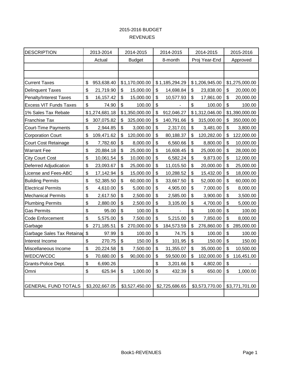# 2015-2016 BUDGET REVENUES

| <b>DESCRIPTION</b>            |                       | 2013-2014<br>2014-2015 |    | 2014-2015      | 2014-2015        |                           | 2015-2016      |                           |                |
|-------------------------------|-----------------------|------------------------|----|----------------|------------------|---------------------------|----------------|---------------------------|----------------|
|                               |                       | Actual                 |    | <b>Budget</b>  | 8-month          |                           | Proj Year-End  |                           | Approved       |
|                               |                       |                        |    |                |                  |                           |                |                           |                |
|                               |                       |                        |    |                |                  |                           |                |                           |                |
| <b>Current Taxes</b>          | \$                    | 953,638.40             |    | \$1,170,000.00 | \$1,185,294.29   |                           | \$1,206,945.00 |                           | \$1,275,000.00 |
| <b>Delinquent Taxes</b>       | \$                    | 21,719.90              | \$ | 15,000.00      | \$<br>14,698.84  | \$                        | 23,838.00      | \$                        | 20,000.00      |
| <b>Penalty/Interest Taxes</b> | \$                    | 16, 157. 42            | \$ | 15,000.00      | \$<br>10,577.93  | \$                        | 17,861.00      | \$                        | 20,000.00      |
| <b>Excess VIT Funds Taxes</b> | \$                    | 74.90                  | \$ | 100.00         | \$               | \$                        | 100.00         | $\boldsymbol{\mathsf{S}}$ | 100.00         |
| 1% Sales Tax Rebate           |                       | \$1,274,681.18         |    | \$1,350,000.00 | \$<br>912,046.27 |                           | \$1,312,046.00 |                           | \$1,390,000.00 |
| Franchise Tax                 | \$                    | 307,075.82             | \$ | 325,000.00     | \$<br>140,791.66 | \$                        | 315,000.00     | \$                        | 350,000.00     |
| <b>Court-Time Payments</b>    | \$                    | 2,944.85               | \$ | 3,000.00       | \$<br>2,317.01   | $\boldsymbol{\mathsf{S}}$ | 3,481.00       | $\boldsymbol{\mathsf{S}}$ | 3,800.00       |
| <b>Corporation Court</b>      | \$                    | 109,471.62             | \$ | 120,000.00     | \$<br>80,188.37  | \$                        | 120,282.00     | \$                        | 122,000.00     |
| <b>Court Cost Retainage</b>   | \$                    | 7,782.60               | \$ | 8,000.00       | \$<br>6,560.66   | \$                        | 8,800.00       | \$                        | 10,000.00      |
| <b>Warrant Fee</b>            | \$                    | 20,884.18              | \$ | 25,000.00      | \$<br>16,608.45  | \$                        | 25,000.00      | \$                        | 28,000.00      |
| <b>City Court Cost</b>        | \$                    | 10,061.54              | \$ | 10,000.00      | \$<br>6,582.24   | \$                        | 9,873.00       | \$                        | 12,000.00      |
| Deferred Adjudication         | \$                    | 23,093.67              | \$ | 25,000.00      | \$<br>11,015.50  | \$                        | 20,000.00      | \$                        | 25,000.00      |
| License and Fees-ABC          | \$                    | 17,142.94              | \$ | 15,000.00      | \$<br>10,288.52  | \$                        | 15,432.00      | \$                        | 18,000.00      |
| <b>Building Permits</b>       | \$                    | 52,385.50              | \$ | 60,000.00      | \$<br>33,667.50  | \$                        | 52,000.00      | \$                        | 60,000.00      |
| <b>Electrical Permits</b>     | \$                    | 4,610.00               | \$ | 5,000.00       | \$<br>4,905.00   | $\boldsymbol{\mathsf{S}}$ | 7,000.00       | \$                        | 8,000.00       |
| <b>Mechanical Permits</b>     | \$                    | 2,617.50               | \$ | 2,500.00       | \$<br>2,585.00   | \$                        | 3,900.00       | \$                        | 3,500.00       |
| <b>Plumbing Permits</b>       | \$                    | 2,880.00               | \$ | 2,500.00       | \$<br>3,105.00   | \$                        | 4,700.00       | \$                        | 5,000.00       |
| <b>Gas Permits</b>            | \$                    | 95.00                  | \$ | 100.00         | \$               | \$                        | 100.00         | \$                        | 100.00         |
| <b>Code Enforcement</b>       | \$                    | 5,575.00               | \$ | 7,500.00       | \$<br>5,215.00   | \$                        | 7,850.00       | \$                        | 8,000.00       |
| Garbage                       | \$                    | 271,185.51             | \$ | 270,000.00     | \$<br>184,573.59 | \$                        | 276,860.00     | \$                        | 285,000.00     |
| Garbage Sales Tax Retaina     | $\boldsymbol{\theta}$ | 97.99                  | \$ | 100.00         | \$<br>74.75      | \$                        | 100.00         | \$                        | 100.00         |
| Interest Income               | \$                    | 270.75                 | \$ | 150.00         | \$<br>101.95     | \$                        | 150.00         | $\boldsymbol{\mathsf{S}}$ | 150.00         |
| Miscellaneous Income          | \$                    | 20,224.58              | \$ | 7,500.00       | \$<br>31,355.07  | \$                        | 35,000.00      | \$                        | 10,500.00      |
| WEDC/WCDC                     | \$                    | 70,680.00              | \$ | 90,000.00      | \$<br>59,500.00  | \$                        | 102,000.00     | \$                        | 116,451.00     |
| Grants-Police Dept.           | \$                    | 6,690.26               |    |                | \$<br>3,201.66   | $\boldsymbol{\mathsf{S}}$ | 4,802.00       | $\boldsymbol{\mathsf{S}}$ |                |
| Omni                          | \$                    | 625.94                 | \$ | 1,000.00       | \$<br>432.39     | \$                        | 650.00         | \$                        | 1,000.00       |
|                               |                       |                        |    |                |                  |                           |                |                           |                |
| <b>GENERAL FUND TOTALS</b>    |                       | \$3,202,667.05         |    | \$3,527,450.00 | \$2,725,686.65   |                           | \$3,573,770.00 |                           | \$3,771,701.00 |
|                               |                       |                        |    |                |                  |                           |                |                           |                |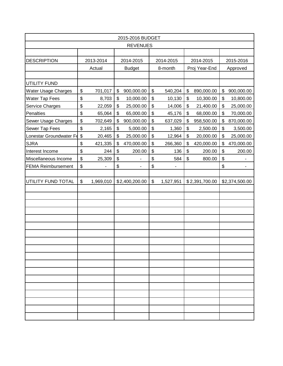| 2015-2016 BUDGET          |                                           |                          |                           |                 |                           |                              |               |                |          |                          |  |
|---------------------------|-------------------------------------------|--------------------------|---------------------------|-----------------|---------------------------|------------------------------|---------------|----------------|----------|--------------------------|--|
|                           |                                           |                          |                           | <b>REVENUES</b> |                           |                              |               |                |          |                          |  |
|                           |                                           |                          |                           |                 |                           |                              |               |                |          |                          |  |
| <b>DESCRIPTION</b>        |                                           | 2013-2014                |                           | 2014-2015       |                           | 2014-2015                    |               | 2014-2015      |          | 2015-2016                |  |
|                           |                                           | Actual                   |                           | <b>Budget</b>   | 8-month                   |                              | Proj Year-End |                | Approved |                          |  |
|                           |                                           |                          |                           |                 |                           |                              |               |                |          |                          |  |
| UTILITY FUND              |                                           |                          |                           |                 |                           |                              |               |                |          |                          |  |
| Water Usage Charges       | \$                                        | 701,017                  | \$                        | 900,000.00      | $\boldsymbol{\mathsf{S}}$ | 540,204                      | \$            | 890,000.00     | \$       | 900,000.00               |  |
| <b>Water Tap Fees</b>     | \$                                        | 8,703                    | \$                        | 10,000.00       | \$                        | 10,130                       | \$            | 10,300.00      | \$       | 10,800.00                |  |
| Service Charges           | \$                                        | 22,059                   | \$                        | 25,000.00       | \$                        | 14,006                       | \$            | 21,400.00      | \$       | 25,000.00                |  |
| <b>Penalties</b>          | \$                                        | 65,064                   | \$                        | 65,000.00       | \$                        | 45,176                       | \$            | 68,000.00      | \$       | 70,000.00                |  |
| Sewer Usage Charges       | \$                                        | 702,649                  | \$                        | 900,000.00      | \$                        | 637,029                      | \$            | 958,500.00     | \$       | 870,000.00               |  |
| Sewer Tap Fees            | \$                                        | 2,165                    | $\boldsymbol{\mathsf{S}}$ | 5,000.00        | \$                        | 1,360                        | \$            | 2,500.00       | \$       | 3,500.00                 |  |
| Lonestar Groundwater Fe   | $\boldsymbol{\mathsf{S}}$                 | 20,465                   | \$                        | 25,000.00       | \$                        | 12,964                       | \$            | 20,000.00      | \$       | 25,000.00                |  |
| <b>SJRA</b>               | \$                                        | 421,335                  | \$                        | 470,000.00      | \$                        | 266,360                      | \$            | 420,000.00     | \$       | 470,000.00               |  |
| Interest Income           | \$                                        | 244                      | \$                        | 200.00          | \$                        | 136                          | \$            | 200.00         | \$       | 200.00                   |  |
| Miscellaneous Income      | \$                                        | 25,309                   | \$                        |                 | \$                        | 584                          | \$            | 800.00         | \$       |                          |  |
| <b>FEMA Reimbursement</b> | \$                                        | $\overline{\phantom{0}}$ | \$                        |                 | $\boldsymbol{\mathsf{S}}$ | $\qquad \qquad \blacksquare$ |               |                | \$       | $\overline{\phantom{a}}$ |  |
|                           |                                           |                          |                           |                 |                           |                              |               |                |          |                          |  |
| UTILITY FUND TOTAL        | $\, \, \raisebox{12pt}{$\scriptstyle \$}$ | 1,969,010                |                           | \$2,400,200.00  | \$                        | 1,527,951                    |               | \$2,391,700.00 |          | \$2,374,500.00           |  |
|                           |                                           |                          |                           |                 |                           |                              |               |                |          |                          |  |
|                           |                                           |                          |                           |                 |                           |                              |               |                |          |                          |  |
|                           |                                           |                          |                           |                 |                           |                              |               |                |          |                          |  |
|                           |                                           |                          |                           |                 |                           |                              |               |                |          |                          |  |
|                           |                                           |                          |                           |                 |                           |                              |               |                |          |                          |  |
|                           |                                           |                          |                           |                 |                           |                              |               |                |          |                          |  |
|                           |                                           |                          |                           |                 |                           |                              |               |                |          |                          |  |
|                           |                                           |                          |                           |                 |                           |                              |               |                |          |                          |  |
|                           |                                           |                          |                           |                 |                           |                              |               |                |          |                          |  |
|                           |                                           |                          |                           |                 |                           |                              |               |                |          |                          |  |
|                           |                                           |                          |                           |                 |                           |                              |               |                |          |                          |  |
|                           |                                           |                          |                           |                 |                           |                              |               |                |          |                          |  |
|                           |                                           |                          |                           |                 |                           |                              |               |                |          |                          |  |
|                           |                                           |                          |                           |                 |                           |                              |               |                |          |                          |  |
|                           |                                           |                          |                           |                 |                           |                              |               |                |          |                          |  |
|                           |                                           |                          |                           |                 |                           |                              |               |                |          |                          |  |
|                           |                                           |                          |                           |                 |                           |                              |               |                |          |                          |  |
|                           |                                           |                          |                           |                 |                           |                              |               |                |          |                          |  |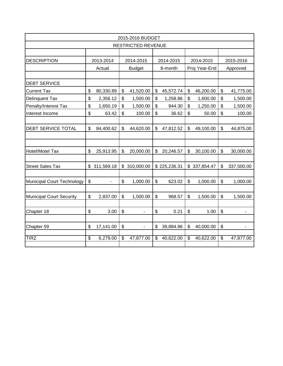| 2015-2016 BUDGET                |    |                          |                           |                           |                          |              |               |              |                           |                |  |  |
|---------------------------------|----|--------------------------|---------------------------|---------------------------|--------------------------|--------------|---------------|--------------|---------------------------|----------------|--|--|
|                                 |    |                          |                           | <b>RESTRICTED REVENUE</b> |                          |              |               |              |                           |                |  |  |
|                                 |    |                          |                           |                           |                          |              |               |              |                           |                |  |  |
| <b>DESCRIPTION</b>              |    | 2013-2014                |                           | 2014-2015                 | 2014-2015                |              | 2014-2015     |              | 2015-2016                 |                |  |  |
|                                 |    | Actual                   |                           | <b>Budget</b>             |                          | 8-month      | Proj Year-End |              |                           | Approved       |  |  |
|                                 |    |                          |                           |                           |                          |              |               |              |                           |                |  |  |
| <b>DEBT SERVICE</b>             |    |                          |                           |                           |                          |              |               |              |                           |                |  |  |
| <b>Current Tax</b>              | \$ | 80,330.89                | \$                        | 41,520.00                 | \$                       | 45,572.74    | \$            | 46,200.00    | \$                        | 41,775.00      |  |  |
| <b>Delinquent Tax</b>           | \$ | 2,356.12                 | $\boldsymbol{\mathsf{S}}$ | 1,500.00                  | \$                       | 1,258.86     | \$            | 1,600.00     | \$                        | 1,500.00       |  |  |
| Penalty/Interest Tax            | \$ | 1,650.19                 | \$                        | 1,500.00                  | $\mathfrak{S}$           | 944.30       | \$            | 1,250.00     | \$                        | 1,500.00       |  |  |
| Interest Income                 | \$ | 63.42                    | \$                        | 100.00                    | \$                       | 36.62        | \$            | 50.00        | \$                        | 100.00         |  |  |
|                                 |    |                          |                           |                           |                          |              |               |              |                           |                |  |  |
| <b>DEBT SERVICE TOTAL</b>       | \$ | 84,400.62                | \$                        | 44,620.00                 | \$                       | 47,812.52    | \$            | 49,100.00    | $\mathfrak{S}$            | 44,875.00      |  |  |
|                                 |    |                          |                           |                           |                          |              |               |              |                           |                |  |  |
|                                 |    |                          |                           |                           |                          |              |               |              |                           |                |  |  |
| Hotel/Motel Tax                 | \$ | 25,913.95                | \$                        | 20,000.00                 | \$                       | 20,246.57    | \$            | 30,100.00    | \$                        | 30,000.00      |  |  |
|                                 |    |                          |                           |                           |                          |              |               |              |                           |                |  |  |
| <b>Street Sales Tax</b>         |    | \$311,569.18             |                           | \$ 310,000.00             |                          | \$225,236.31 |               | \$337,854.47 | \$                        | 337,500.00     |  |  |
|                                 |    |                          |                           |                           |                          |              |               |              |                           |                |  |  |
| Municipal Court Technology      | \$ | $\overline{\phantom{0}}$ | \$                        | 1,000.00                  | $\mathfrak{S}$           | 623.02       | \$            | 1,000.00     | \$                        | 1,000.00       |  |  |
|                                 |    |                          |                           |                           |                          |              |               |              |                           |                |  |  |
| <b>Municipal Court Security</b> | \$ | 2,837.00                 | \$                        | 1,500.00                  | \$                       | 968.57       | \$            | 1,500.00     | $\boldsymbol{\mathsf{S}}$ | 1,500.00       |  |  |
|                                 |    |                          |                           |                           |                          |              |               |              |                           |                |  |  |
| Chapter 18                      | \$ | 3.00                     | \$                        | $\blacksquare$            | $\mathfrak{S}$           | 0.21         | \$            | 1.00         | $\boldsymbol{\mathsf{S}}$ | $\blacksquare$ |  |  |
|                                 |    |                          |                           |                           |                          |              |               |              |                           |                |  |  |
| Chapter 59                      | \$ | 17,141.00                | \$                        | $\overline{\phantom{0}}$  | \$                       | 39,884.86    | \$            | 40,000.00    | $\boldsymbol{\mathsf{S}}$ |                |  |  |
|                                 |    |                          |                           |                           |                          |              |               |              |                           |                |  |  |
| <b>TIRZ</b>                     | \$ | 6,279.00                 | $\overline{\mathbf{3}}$   | 47,877.00                 | $\overline{\mathcal{S}}$ | 40,622.00    | \$            | 40,622.00    | $\overline{\mathbf{e}}$   | 47,877.00      |  |  |
|                                 |    |                          |                           |                           |                          |              |               |              |                           |                |  |  |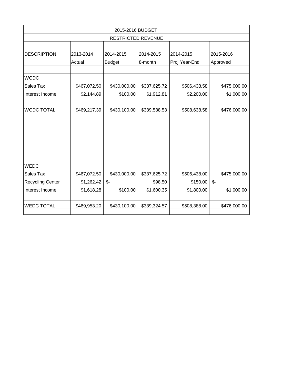| 2015-2016 BUDGET        |              |                           |              |               |                 |  |  |  |  |  |  |  |
|-------------------------|--------------|---------------------------|--------------|---------------|-----------------|--|--|--|--|--|--|--|
|                         |              | <b>RESTRICTED REVENUE</b> |              |               |                 |  |  |  |  |  |  |  |
|                         |              |                           |              |               |                 |  |  |  |  |  |  |  |
| <b>DESCRIPTION</b>      | 2013-2014    | 2014-2015                 | 2014-2015    | 2014-2015     | 2015-2016       |  |  |  |  |  |  |  |
|                         | Actual       | <b>Budget</b>             | 8-month      | Proj Year-End | Approved        |  |  |  |  |  |  |  |
|                         |              |                           |              |               |                 |  |  |  |  |  |  |  |
| <b>WCDC</b>             |              |                           |              |               |                 |  |  |  |  |  |  |  |
| Sales Tax               | \$467,072.50 | \$430,000.00              | \$337,625.72 | \$506,438.58  | \$475,000.00    |  |  |  |  |  |  |  |
| Interest Income         | \$2,144.89   | \$100.00                  | \$1,912.81   | \$2,200.00    | \$1,000.00      |  |  |  |  |  |  |  |
|                         |              |                           |              |               |                 |  |  |  |  |  |  |  |
| <b>WCDC TOTAL</b>       | \$469,217.39 | \$430,100.00              | \$339,538.53 | \$508,638.58  | \$476,000.00    |  |  |  |  |  |  |  |
|                         |              |                           |              |               |                 |  |  |  |  |  |  |  |
|                         |              |                           |              |               |                 |  |  |  |  |  |  |  |
|                         |              |                           |              |               |                 |  |  |  |  |  |  |  |
|                         |              |                           |              |               |                 |  |  |  |  |  |  |  |
| <b>WEDC</b>             |              |                           |              |               |                 |  |  |  |  |  |  |  |
| <b>Sales Tax</b>        | \$467,072.50 | \$430,000.00              | \$337,625.72 | \$506,438.00  | \$475,000.00    |  |  |  |  |  |  |  |
| <b>Recycling Center</b> | \$1,262.42   | $\mathcal{S}$ -           | \$98.50      | \$150.00      | $\mathcal{S}$ - |  |  |  |  |  |  |  |
| Interest Income         | \$1,618.28   | \$100.00                  | \$1,600.35   | \$1,800.00    | \$1,000.00      |  |  |  |  |  |  |  |
|                         |              |                           |              |               |                 |  |  |  |  |  |  |  |
| <b>WEDC TOTAL</b>       | \$469,953.20 | \$430,100.00              | \$339,324.57 | \$508,388.00  | \$476,000.00    |  |  |  |  |  |  |  |
|                         |              |                           |              |               |                 |  |  |  |  |  |  |  |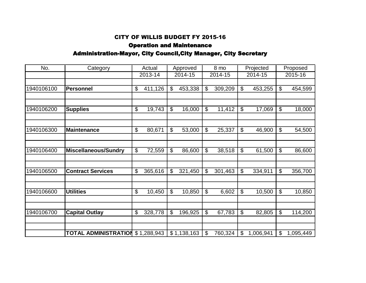# Operation and Maintenance Administration-Mayor, City Council,City Manager, City Secretary

| No.        | Category                         |                           | Actual  |                            | Approved    | 8 mo                       |         | Projected                 |           | Proposed                  |           |
|------------|----------------------------------|---------------------------|---------|----------------------------|-------------|----------------------------|---------|---------------------------|-----------|---------------------------|-----------|
|            |                                  |                           | 2013-14 |                            | 2014-15     |                            | 2014-15 | 2014-15                   |           |                           | 2015-16   |
|            |                                  |                           |         |                            |             |                            |         |                           |           |                           |           |
| 1940106100 | <b>Personnel</b>                 | $\boldsymbol{\mathsf{S}}$ | 411,126 | $\boldsymbol{\mathcal{L}}$ | 453,338     | $\boldsymbol{\mathcal{L}}$ | 309,209 | \$                        | 453,255   | $\frac{1}{2}$             | 454,599   |
|            |                                  |                           |         |                            |             |                            |         |                           |           |                           |           |
| 1940106200 | <b>Supplies</b>                  | $\boldsymbol{\theta}$     | 19,743  | $\boldsymbol{\mathsf{S}}$  | 16,000      | $\boldsymbol{\mathcal{S}}$ | 11,412  | \$                        | 17,069    | $\frac{1}{2}$             | 18,000    |
|            |                                  |                           |         |                            |             |                            |         |                           |           |                           |           |
| 1940106300 | <b>Maintenance</b>               | $\boldsymbol{\mathsf{S}}$ | 80,671  | $\boldsymbol{\mathsf{S}}$  | 53,000      | $\boldsymbol{\mathsf{S}}$  | 25,337  | $\boldsymbol{\mathsf{S}}$ | 46,900    | $\boldsymbol{\mathsf{S}}$ | 54,500    |
|            |                                  |                           |         |                            |             |                            |         |                           |           |                           |           |
| 1940106400 | <b>Miscellaneous/Sundry</b>      | \$                        | 72,559  | $\boldsymbol{\mathsf{S}}$  | 86,600      | $\boldsymbol{\mathsf{S}}$  | 38,518  | \$                        | 61,500    | $\boldsymbol{\mathsf{S}}$ | 86,600    |
|            |                                  |                           |         |                            |             |                            |         |                           |           |                           |           |
| 1940106500 | <b>Contract Services</b>         | \$                        | 365,616 | \$                         | 321,450     | \$                         | 301,463 | $\boldsymbol{\mathsf{S}}$ | 334,911   | $\boldsymbol{\mathsf{S}}$ | 356,700   |
|            |                                  |                           |         |                            |             |                            |         |                           |           |                           |           |
| 1940106600 | <b>Utilities</b>                 | $\boldsymbol{\mathsf{S}}$ | 10,450  | $\boldsymbol{\mathsf{S}}$  | 10,850      | $\boldsymbol{\mathsf{S}}$  | 6,602   | $\boldsymbol{\mathsf{S}}$ | 10,500    | $\boldsymbol{\mathsf{S}}$ | 10,850    |
|            |                                  |                           |         |                            |             |                            |         |                           |           |                           |           |
| 1940106700 | <b>Capital Outlay</b>            | \$                        | 328,778 | $\boldsymbol{\theta}$      | 196,925     | \$                         | 67,783  | \$                        | 82,805    | \$                        | 114,200   |
|            |                                  |                           |         |                            |             |                            |         |                           |           |                           |           |
|            | TOTAL ADMINISTRATION \$1,288,943 |                           |         |                            | \$1,138,163 | \$                         | 760,324 | \$                        | 1,006,941 | \$                        | 1,095,449 |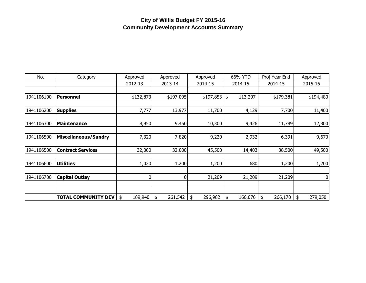# **City of Willis Budget FY 2015-16 Community Development Accounts Summary**

| No.        | Category                    | Approved      | Approved      | Approved      | 66% YTD       | Proj Year End | Approved      |
|------------|-----------------------------|---------------|---------------|---------------|---------------|---------------|---------------|
|            |                             | 2012-13       | 2013-14       | 2014-15       | 2014-15       | 2014-15       | 2015-16       |
|            |                             |               |               |               |               |               |               |
| 1941106100 | Personnel                   | \$132,873     | \$197,095     | $$197,853$ \$ | 113,297       | \$179,381     | \$194,480     |
|            |                             |               |               |               |               |               |               |
| 1941106200 | <b>Supplies</b>             | 7,777         | 13,977        | 11,700        | 4,129         | 7,700         | 11,400        |
|            |                             |               |               |               |               |               |               |
| 1941106300 | <b>Maintenance</b>          | 8,950         | 9,450         | 10,300        | 9,426         | 11,789        | 12,800        |
|            |                             |               |               |               |               |               |               |
| 1941106500 | <b>Miscellaneous/Sundry</b> | 7,320         | 7,820         | 9,220         | 2,932         | 6,391         | 9,670         |
|            |                             |               |               |               |               |               |               |
| 1941106500 | <b>Contract Services</b>    | 32,000        | 32,000        | 45,500        | 14,403        | 38,500        | 49,500        |
|            |                             |               |               |               |               |               |               |
| 1941106600 | <b>Utilities</b>            | 1,020         | 1,200         | 1,200         | 680           | 1,200         | 1,200         |
|            |                             |               |               |               |               |               |               |
| 1941106700 | <b>Capital Outlay</b>       | 0             | 0             | 21,209        | 21,209        | 21,209        | 0             |
|            |                             |               |               |               |               |               |               |
|            |                             |               |               |               |               |               |               |
|            | <b>TOTAL COMMUNITY DEV</b>  | \$<br>189,940 | \$<br>261,542 | 296,982<br>\$ | \$<br>166,076 | \$<br>266,170 | 279,050<br>\$ |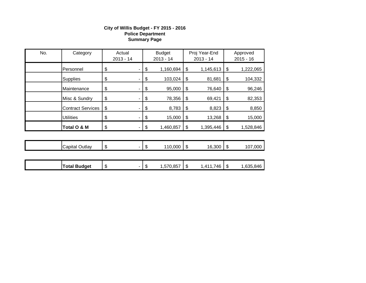#### **City of Willis Budget - FY 2015 - 2016 Police Department Summary Page**

|     | Total O & M              | \$                    | \$                           | 1,460,857 | \$                           | 1,395,446 | \$                        | 1,528,846 |
|-----|--------------------------|-----------------------|------------------------------|-----------|------------------------------|-----------|---------------------------|-----------|
|     | <b>Utilities</b>         | \$                    | \$                           | 15,000    | \$                           | 13,268    | \$                        | 15,000    |
|     | <b>Contract Services</b> | \$                    | \$                           | 8,783     | \$                           | 8,823     | $\boldsymbol{\mathsf{S}}$ | 8,850     |
|     | Misc & Sundry            | \$                    | \$                           | 78,356    | \$                           | 69,421    | \$                        | 82,353    |
|     | Maintenance              | \$                    | \$                           | 95,000    | \$                           | 76,640    | $\sqrt{3}$                | 96,246    |
|     | <b>Supplies</b>          | \$                    | \$                           | 103,024   | \$                           | 81,681    | \$                        | 104,332   |
|     | Personnel                | \$                    | \$                           | 1,160,694 | \$                           | 1,145,613 | \$                        | 1,222,065 |
| No. | Category                 | Actual<br>$2013 - 14$ | <b>Budget</b><br>$2013 - 14$ |           | Proj Year-End<br>$2013 - 14$ |           | Approved<br>$2015 - 16$   |           |

| ∽<br>∪utlav<br>ا≺apıta | æ<br>۰D | - 11 | ,000<br>44C | 灬<br>۰D | ,300<br>16 | -11 | ,000<br>.<br>ıυ |
|------------------------|---------|------|-------------|---------|------------|-----|-----------------|
|                        |         |      |             |         |            |     |                 |

| <b>Total Budget</b> | œ<br>$\sim$<br>мD | $\uparrow$<br>-11 | ,570,857 | æ<br>- 11 | 4F<br>. $41^{\circ}$<br>πυ | - JD | .846<br>,635 |
|---------------------|-------------------|-------------------|----------|-----------|----------------------------|------|--------------|
|                     |                   |                   |          |           |                            |      |              |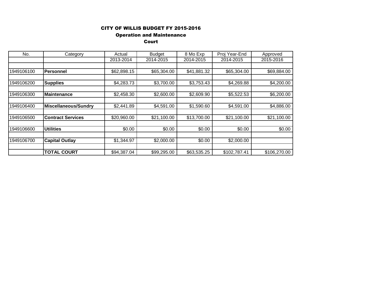#### Operation and Maintenance

#### Court

| No.        | Category                 | Actual      | <b>Budget</b> | 8 Mo Exp    | Proj Year-End | Approved     |
|------------|--------------------------|-------------|---------------|-------------|---------------|--------------|
|            |                          | 2013-2014   | 2014-2015     | 2014-2015   | 2014-2015     | 2015-2016    |
|            |                          |             |               |             |               |              |
| 1949106100 | <b>Personnel</b>         | \$62,898.15 | \$65,304.00   | \$41,881.32 | \$65,304.00   | \$69,884.00  |
|            |                          |             |               |             |               |              |
| 1949106200 | <b>Supplies</b>          | \$4,283.73  | \$3,700.00    | \$3,753.43  | \$4,269.88    | \$4,200.00   |
|            |                          |             |               |             |               |              |
| 1949106300 | <b>Maintenance</b>       | \$2,458.30  | \$2,600.00    | \$2,609.90  | \$5,522.53    | \$6,200.00   |
|            |                          |             |               |             |               |              |
| 1949106400 | Miscellaneous/Sundry     | \$2,441.89  | \$4,591.00    | \$1,590.60  | \$4,591.00    | \$4,886.00   |
|            |                          |             |               |             |               |              |
| 1949106500 | <b>Contract Services</b> | \$20,960.00 | \$21,100.00   | \$13,700.00 | \$21,100.00   | \$21,100.00  |
|            |                          |             |               |             |               |              |
| 1949106600 | <b>Utilities</b>         | \$0.00      | \$0.00        | \$0.00      | \$0.00        | \$0.00       |
|            |                          |             |               |             |               |              |
| 1949106700 | <b>Capital Outlay</b>    | \$1,344.97  | \$2,000.00    | \$0.00      | \$2,000.00    |              |
|            |                          |             |               |             |               |              |
|            | <b>TOTAL COURT</b>       | \$94,387.04 | \$99,295.00   | \$63,535.25 | \$102,787.41  | \$106,270.00 |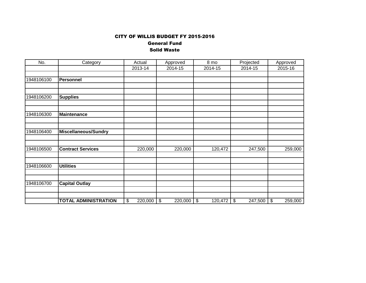General Fund Solid Waste

| No.        | Category                    | Actual        | Approved      | 8 mo          | Projected                            | Approved      |
|------------|-----------------------------|---------------|---------------|---------------|--------------------------------------|---------------|
|            |                             | 2013-14       | 2014-15       | 2014-15       | 2014-15                              | 2015-16       |
|            |                             |               |               |               |                                      |               |
| 1948106100 | <b>Personnel</b>            |               |               |               |                                      |               |
|            |                             |               |               |               |                                      |               |
| 1948106200 | <b>Supplies</b>             |               |               |               |                                      |               |
|            |                             |               |               |               |                                      |               |
| 1948106300 | <b>Maintenance</b>          |               |               |               |                                      |               |
|            |                             |               |               |               |                                      |               |
| 1948106400 | <b>Miscellaneous/Sundry</b> |               |               |               |                                      |               |
|            |                             |               |               |               |                                      |               |
|            |                             |               |               |               |                                      |               |
| 1948106500 | <b>Contract Services</b>    | 220,000       | 220,000       | 120,472       | 247,500                              | 259,000       |
|            |                             |               |               |               |                                      |               |
| 1948106600 | <b>Utilities</b>            |               |               |               |                                      |               |
|            |                             |               |               |               |                                      |               |
| 1948106700 | <b>Capital Outlay</b>       |               |               |               |                                      |               |
|            |                             |               |               |               |                                      |               |
|            | <b>TOTAL ADMINISTRATION</b> | \$<br>220,000 | \$<br>220,000 | \$<br>120,472 | $\boldsymbol{\mathsf{S}}$<br>247,500 | \$<br>259,000 |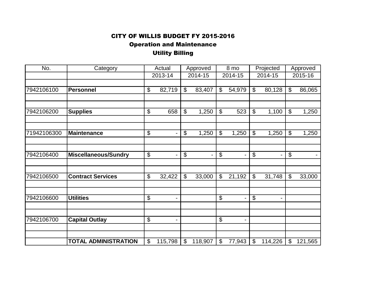Operation and Maintenance

Utility Billing

| Category                    | Actual                                                                                                             |                      | Approved                            |                                                        | 8 mo                                           |                      | Projected                                   |                                                                                                               | Approved                                       |                                                              |
|-----------------------------|--------------------------------------------------------------------------------------------------------------------|----------------------|-------------------------------------|--------------------------------------------------------|------------------------------------------------|----------------------|---------------------------------------------|---------------------------------------------------------------------------------------------------------------|------------------------------------------------|--------------------------------------------------------------|
|                             |                                                                                                                    |                      |                                     |                                                        |                                                |                      |                                             |                                                                                                               |                                                | 2015-16                                                      |
|                             |                                                                                                                    |                      |                                     |                                                        |                                                |                      |                                             |                                                                                                               |                                                |                                                              |
| <b>Personnel</b>            | \$                                                                                                                 | 82,719               | \$                                  | 83,407                                                 | $\boldsymbol{\mathcal{S}}$                     | 54,979               | \$                                          | 80,128                                                                                                        | \$                                             | 86,065                                                       |
|                             |                                                                                                                    |                      |                                     |                                                        |                                                |                      |                                             |                                                                                                               |                                                |                                                              |
|                             |                                                                                                                    |                      |                                     |                                                        |                                                |                      |                                             |                                                                                                               |                                                |                                                              |
|                             |                                                                                                                    |                      |                                     |                                                        |                                                |                      |                                             |                                                                                                               |                                                | 1,250                                                        |
|                             |                                                                                                                    |                      |                                     |                                                        |                                                |                      |                                             |                                                                                                               |                                                |                                                              |
|                             |                                                                                                                    | Ξ.                   |                                     |                                                        |                                                |                      |                                             |                                                                                                               |                                                | 1,250                                                        |
|                             |                                                                                                                    |                      |                                     |                                                        |                                                |                      |                                             |                                                                                                               |                                                |                                                              |
|                             |                                                                                                                    |                      |                                     |                                                        |                                                |                      |                                             |                                                                                                               |                                                |                                                              |
| <b>Miscellaneous/Sundry</b> | \$                                                                                                                 |                      | \$                                  |                                                        | $\boldsymbol{\theta}$                          |                      |                                             |                                                                                                               | $\boldsymbol{\mathsf{S}}$                      |                                                              |
|                             |                                                                                                                    |                      |                                     |                                                        |                                                |                      |                                             |                                                                                                               |                                                |                                                              |
|                             |                                                                                                                    |                      |                                     |                                                        |                                                |                      |                                             |                                                                                                               |                                                | 33,000                                                       |
|                             |                                                                                                                    |                      |                                     |                                                        |                                                |                      |                                             |                                                                                                               |                                                |                                                              |
|                             |                                                                                                                    |                      |                                     |                                                        |                                                |                      |                                             |                                                                                                               |                                                |                                                              |
| <b>Utilities</b>            | \$                                                                                                                 | -                    |                                     |                                                        | \$                                             |                      | $\boldsymbol{\theta}$                       |                                                                                                               |                                                |                                                              |
|                             |                                                                                                                    |                      |                                     |                                                        |                                                |                      |                                             |                                                                                                               |                                                |                                                              |
|                             |                                                                                                                    |                      |                                     |                                                        |                                                |                      |                                             |                                                                                                               |                                                |                                                              |
|                             |                                                                                                                    | -                    |                                     |                                                        |                                                |                      |                                             |                                                                                                               |                                                |                                                              |
|                             |                                                                                                                    |                      |                                     |                                                        |                                                |                      |                                             |                                                                                                               |                                                |                                                              |
|                             | $\mathcal{L}$                                                                                                      |                      | $\mathcal{L}$                       |                                                        | \$                                             |                      | $\mathfrak{L}$                              |                                                                                                               | $\mathfrak{L}$                                 | 121,565                                                      |
|                             | <b>Supplies</b><br>Maintenance<br><b>Contract Services</b><br><b>Capital Outlay</b><br><b>TOTAL ADMINISTRATION</b> | \$<br>\$<br>\$<br>\$ | 2013-14<br>658<br>32,422<br>115,798 | $\overline{\mathbf{e}}$<br>$\boldsymbol{\theta}$<br>\$ | 2014-15<br>1,250<br>1,250<br>33,000<br>118,907 | \$<br>\$<br>\$<br>\$ | 2014-15<br>523<br>1,250<br>21,192<br>77,943 | $\overline{\mathcal{G}}$<br>$\overline{\mathcal{G}}$<br>$\overline{\mathcal{G}}$<br>$\boldsymbol{\mathsf{S}}$ | 2014-15<br>1,100<br>1,250<br>31,748<br>114,226 | $\boldsymbol{\mathsf{S}}$<br>$\boldsymbol{\mathsf{S}}$<br>\$ |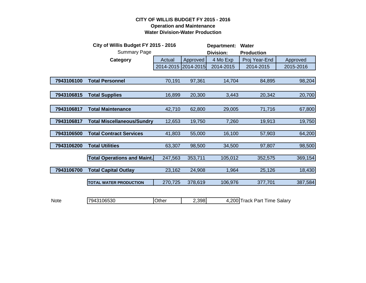#### **CITY OF WILLIS BUDGET FY 2015 - 2016 Operation and Maintenance Water Division-Water Production**

|             | City of Willis Budget FY 2015 - 2016 |           |           | Department:<br><b>Water</b> |                              |           |
|-------------|--------------------------------------|-----------|-----------|-----------------------------|------------------------------|-----------|
|             | <b>Summary Page</b>                  |           |           | Division:                   | <b>Production</b>            |           |
|             | Category                             | Actual    | Approved  | 4 Mo Exp                    | Proj Year-End                | Approved  |
|             |                                      | 2014-2015 | 2014-2015 | 2014-2015                   | 2014-2015                    | 2015-2016 |
|             |                                      |           |           |                             |                              |           |
| 7943106100  | <b>Total Personnel</b>               | 70,191    | 97,361    | 14,704                      | 84,895                       | 98,204    |
|             |                                      |           |           |                             |                              |           |
| 7943106815  | <b>Total Supplies</b>                | 16,899    | 20,300    | 3,443                       | 20,342                       | 20,700    |
|             |                                      |           |           |                             |                              |           |
| 7943106817  | <b>Total Maintenance</b>             | 42,710    | 62,800    | 29,005                      | 71,716                       | 67,800    |
|             |                                      |           |           |                             |                              |           |
| 7943106817  | <b>Total Miscellaneous/Sundry</b>    | 12,653    | 19,750    | 7,260                       | 19,913                       | 19,750    |
| 7943106500  | <b>Total Contract Services</b>       |           |           |                             |                              |           |
|             |                                      | 41,803    | 55,000    | 16,100                      | 57,903                       | 64,200    |
| 7943106200  | <b>Total Utilities</b>               | 63,307    | 98,500    | 34,500                      | 97,807                       | 98,500    |
|             |                                      |           |           |                             |                              |           |
|             | <b>Total Operations and Maint.</b>   | 247,563   | 353,711   | 105,012                     | 352,575                      | 369,154   |
|             |                                      |           |           |                             |                              |           |
| 7943106700  | <b>Total Capital Outlay</b>          | 23,162    | 24,908    | 1,964                       | 25,126                       | 18,430    |
|             | <b>TOTAL WATER PRODUCTION</b>        | 270,725   | 378,619   | 106,976                     | 377,701                      | 387,584   |
|             |                                      |           |           |                             |                              |           |
|             |                                      |           |           |                             |                              |           |
| <b>Note</b> | 7943106530                           | Other     | 2,398     |                             | 4,200 Track Part Time Salary |           |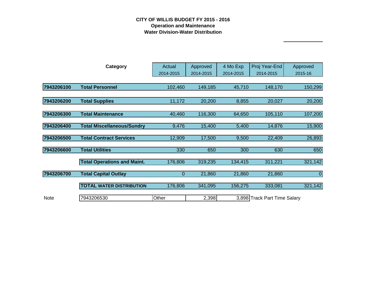## **CITY OF WILLIS BUDGET FY 2015 - 2016 Operation and Maintenance Water Division-Water Distribution**

|             | <b>Category</b>                    | Actual      | Approved  | 4 Mo Exp  | Proj Year-End                | Approved  |
|-------------|------------------------------------|-------------|-----------|-----------|------------------------------|-----------|
|             |                                    | 2014-2015   | 2014-2015 | 2014-2015 | 2014-2015                    | 2015-16   |
|             |                                    |             |           |           |                              |           |
| 7943206100  | <b>Total Personnel</b>             | 102,460     | 149,185   | 45,710    | 148,170                      | 150,299   |
|             |                                    |             |           |           |                              |           |
| 7943206200  | <b>Total Supplies</b>              | 11,172      | 20,200    | 8,855     | 20,027                       | 20,200    |
|             |                                    |             |           |           |                              |           |
| 7943206300  | <b>Total Maintenance</b>           | 40,460      | 116,300   | 64,650    | 105,110                      | 107,200   |
|             |                                    |             |           |           |                              |           |
| 7943206400  | <b>Total Miscellaneous/Sundry</b>  | 9,476       | 15,400    | 5,400     | 14,876                       | 15,900    |
| 7943206500  | <b>Total Contract Services</b>     | 12,909      | 17,500    | 9,500     | 22,409                       | 26,893    |
|             |                                    |             |           |           |                              |           |
| 7943206600  | <b>Total Utilities</b>             | 330         | 650       | 300       | 630                          | 650       |
|             |                                    |             |           |           |                              |           |
|             | <b>Total Operations and Maint.</b> | 176,806     | 319,235   | 134,415   | 311,221                      | 321,142   |
| 7943206700  | <b>Total Capital Outlay</b>        | $\mathbf 0$ | 21,860    | 21,860    | 21,860                       | $\pmb{0}$ |
|             |                                    |             |           |           |                              |           |
|             | <b>TOTAL WATER DISTRIBUTION</b>    | 176,806     | 341,095   | 156,275   | 333,081                      | 321,142   |
|             |                                    |             |           |           |                              |           |
| <b>Note</b> | 7943206530                         | Other       | 2,398     |           | 3,898 Track Part Time Salary |           |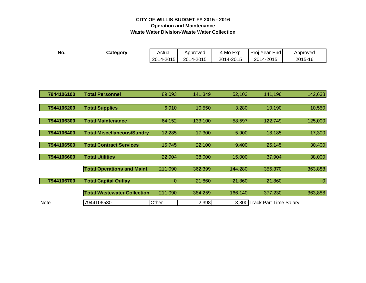## **CITY OF WILLIS BUDGET FY 2015 - 2016 Operation and Maintenance Waste Water Division-Waste Water Collection**

| No.             | Category                           | Actual<br>2014-2015 | Approved<br>2014-2015 | 4 Mo Exp<br>2014-2015 | Proj Year-End<br>2014-2015   | Approved<br>2015-16 |
|-----------------|------------------------------------|---------------------|-----------------------|-----------------------|------------------------------|---------------------|
|                 |                                    |                     |                       |                       |                              |                     |
|                 |                                    |                     |                       |                       |                              |                     |
| 7944106100      | <b>Total Personnel</b>             | 89,093              | 141,349               | 52,103                | 141,196                      | 142,638             |
| 7944106200      | <b>Total Supplies</b>              | 6,910               | 10,550                | 3,280                 | 10,190                       | 10,550              |
| 7944106300<br>L | <b>Total Maintenance</b>           | 64,152              | 133,100               | 58,597                | 122,749                      | 125,000             |
| 7944106400      | <b>Total Miscellaneous/Sundry</b>  | 12,285              | 17,300                | 5,900                 | 18,185                       | 17,300              |
| 7944106500      | <b>Total Contract Services</b>     | 15,745              | 22,100                | 9,400                 | 25,145                       | 30,400              |
| 7944106600      | <b>Total Utilities</b>             | 22,904              | 38,000                | 15,000                | 37,904                       | 38,000              |
|                 | <b>Total Operations and Maint.</b> | 211,090             | 362,399               | 144,280               | 355,370                      | 363,888             |
| 7944106700      | <b>Total Capital Outlay</b>        | $\overline{0}$      | 21,860                | 21,860                | 21,860                       | $\Omega$            |
|                 | <b>Total Wastewater Collection</b> | 211,090             | 384,259               | 166,140               | 377,230                      | 363,888             |
| Note            | 7944106530                         | Other               | 2,398                 |                       | 3,300 Track Part Time Salary |                     |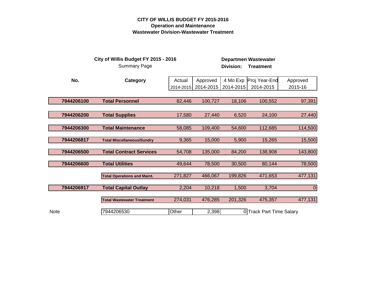## **CITY OF WILLIS BUDGET FY 2015-2016 Operation and Maintenance Wastewater Division-Wastewater Treatment**

|             | City of Willis Budget FY 2015 - 2016<br><b>Summary Page</b> |           |           | <b>Division:</b> | <b>Departmen Wastewater</b><br><b>Treatment</b> |             |
|-------------|-------------------------------------------------------------|-----------|-----------|------------------|-------------------------------------------------|-------------|
| No.         | Category                                                    | Actual    | Approved  | 4 Mo Exp         | Proj Year-End                                   | Approved    |
|             |                                                             | 2014-2015 | 2014-2015 | 2014-2015        | 2014-2015                                       | 2015-16     |
|             |                                                             |           |           |                  |                                                 |             |
| 7944206100  | <b>Total Personnel</b>                                      | 82,446    | 100,727   | 18,106           | 100,552                                         | 97,391      |
|             |                                                             |           |           |                  |                                                 |             |
| 7944206200  | <b>Total Supplies</b>                                       | 17,580    | 27,440    | 6,520            | 24,100                                          | 27,440      |
|             |                                                             |           |           |                  |                                                 |             |
| 7944206300  | <b>Total Maintenance</b>                                    | 58,085    | 109,400   | 54,600           | 112,685                                         | 114,500     |
| 7944206817  | <b>Total Miscellaneous/Sundry</b>                           | 9,365     | 15,000    | 5,900            | 15,265                                          | 15,500      |
|             |                                                             |           |           |                  |                                                 |             |
| 7944206500  | <b>Total Contract Services</b>                              | 54,708    | 135,000   | 84,200           | 138,908                                         | 143,800     |
|             |                                                             |           |           |                  |                                                 |             |
| 7944206600  | <b>Total Utilities</b>                                      | 49,644    | 78,500    | 30,500           | 80,144                                          | 78,500      |
|             | <b>Total Operations and Maint.</b>                          | 271,827   | 466,067   | 199,826          | 471,653                                         | 477,131     |
| 7944206917  | <b>Total Capital Outlay</b>                                 | 2,204     | 10,218    | 1,500            | 3,704                                           | $\mathbf 0$ |
|             | <b>Total Wastewater Treatment</b>                           | 274,031   | 476,285   | 201,326          | 475,357                                         | 477,131     |
| <b>Note</b> | 7944206530                                                  | Other     | 2,398     |                  | 0 Track Part Time Salary                        |             |